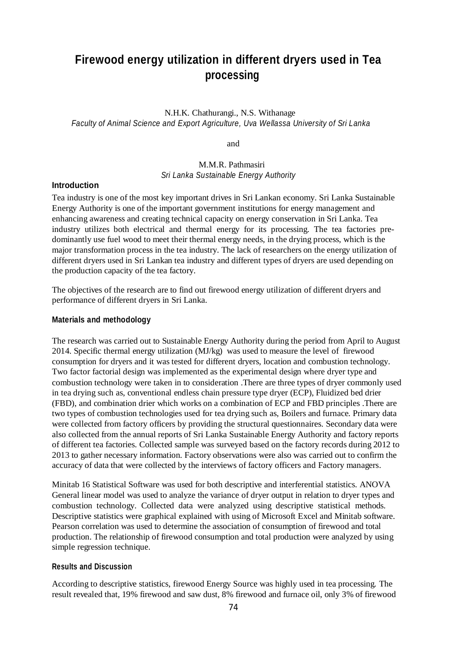# **Firewood energy utilization in different dryers used in Tea processing**

N.H.K. Chathurangi., N.S. Withanage *Faculty of Animal Science and Export Agriculture, Uva Wellassa University of Sri Lanka*

and

## M.M.R. Pathmasiri *Sri Lanka Sustainable Energy Authority*

## **Introduction**

Tea industry is one of the most key important drives in Sri Lankan economy. Sri Lanka Sustainable Energy Authority is one of the important government institutions for energy management and enhancing awareness and creating technical capacity on energy conservation in Sri Lanka. Tea industry utilizes both electrical and thermal energy for its processing. The tea factories predominantly use fuel wood to meet their thermal energy needs, in the drying process, which is the major transformation process in the tea industry. The lack of researchers on the energy utilization of different dryers used in Sri Lankan tea industry and different types of dryers are used depending on the production capacity of the tea factory.

The objectives of the research are to find out firewood energy utilization of different dryers and performance of different dryers in Sri Lanka.

#### **Materials and methodology**

The research was carried out to Sustainable Energy Authority during the period from April to August 2014. Specific thermal energy utilization (MJ/kg) was used to measure the level of firewood consumption for dryers and it was tested for different dryers, location and combustion technology. Two factor factorial design was implemented as the experimental design where dryer type and combustion technology were taken in to consideration .There are three types of dryer commonly used in tea drying such as, conventional endless chain pressure type dryer (ECP), Fluidized bed drier (FBD), and combination drier which works on a combination of ECP and FBD principles .There are two types of combustion technologies used for tea drying such as, Boilers and furnace. Primary data were collected from factory officers by providing the structural questionnaires. Secondary data were also collected from the annual reports of Sri Lanka Sustainable Energy Authority and factory reports of different tea factories. Collected sample was surveyed based on the factory records during 2012 to 2013 to gather necessary information. Factory observations were also was carried out to confirm the accuracy of data that were collected by the interviews of factory officers and Factory managers.

Minitab 16 Statistical Software was used for both descriptive and interferential statistics. ANOVA General linear model was used to analyze the variance of dryer output in relation to dryer types and combustion technology. Collected data were analyzed using descriptive statistical methods. Descriptive statistics were graphical explained with using of Microsoft Excel and Minitab software. Pearson correlation was used to determine the association of consumption of firewood and total production. The relationship of firewood consumption and total production were analyzed by using simple regression technique.

#### **Results and Discussion**

According to descriptive statistics, firewood Energy Source was highly used in tea processing. The result revealed that, 19% firewood and saw dust, 8% firewood and furnace oil, only 3% of firewood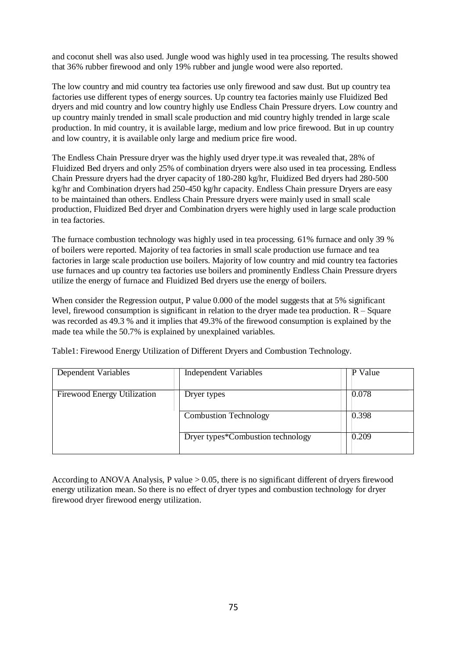and coconut shell was also used. Jungle wood was highly used in tea processing. The results showed that 36% rubber firewood and only 19% rubber and jungle wood were also reported.

The low country and mid country tea factories use only firewood and saw dust. But up country tea factories use different types of energy sources. Up country tea factories mainly use Fluidized Bed dryers and mid country and low country highly use Endless Chain Pressure dryers. Low country and up country mainly trended in small scale production and mid country highly trended in large scale production. In mid country, it is available large, medium and low price firewood. But in up country and low country, it is available only large and medium price fire wood.

The Endless Chain Pressure dryer was the highly used dryer type.it was revealed that, 28% of Fluidized Bed dryers and only 25% of combination dryers were also used in tea processing. Endless Chain Pressure dryers had the dryer capacity of 180-280 kg/hr, Fluidized Bed dryers had 280-500 kg/hr and Combination dryers had 250-450 kg/hr capacity. Endless Chain pressure Dryers are easy to be maintained than others. Endless Chain Pressure dryers were mainly used in small scale production, Fluidized Bed dryer and Combination dryers were highly used in large scale production in tea factories.

The furnace combustion technology was highly used in tea processing. 61% furnace and only 39 % of boilers were reported. Majority of tea factories in small scale production use furnace and tea factories in large scale production use boilers. Majority of low country and mid country tea factories use furnaces and up country tea factories use boilers and prominently Endless Chain Pressure dryers utilize the energy of furnace and Fluidized Bed dryers use the energy of boilers.

When consider the Regression output, P value 0.000 of the model suggests that at 5% significant level, firewood consumption is significant in relation to the dryer made tea production.  $R -$  Square was recorded as 49.3 % and it implies that 49.3% of the firewood consumption is explained by the made tea while the 50.7% is explained by unexplained variables.

| <b>Dependent Variables</b>  | Independent Variables             | P Value |
|-----------------------------|-----------------------------------|---------|
| Firewood Energy Utilization | Dryer types                       | 0.078   |
|                             | <b>Combustion Technology</b>      | 0.398   |
|                             | Dryer types*Combustion technology | 0.209   |

Table1: Firewood Energy Utilization of Different Dryers and Combustion Technology.

According to ANOVA Analysis, P value  $> 0.05$ , there is no significant different of dryers firewood energy utilization mean. So there is no effect of dryer types and combustion technology for dryer firewood dryer firewood energy utilization.